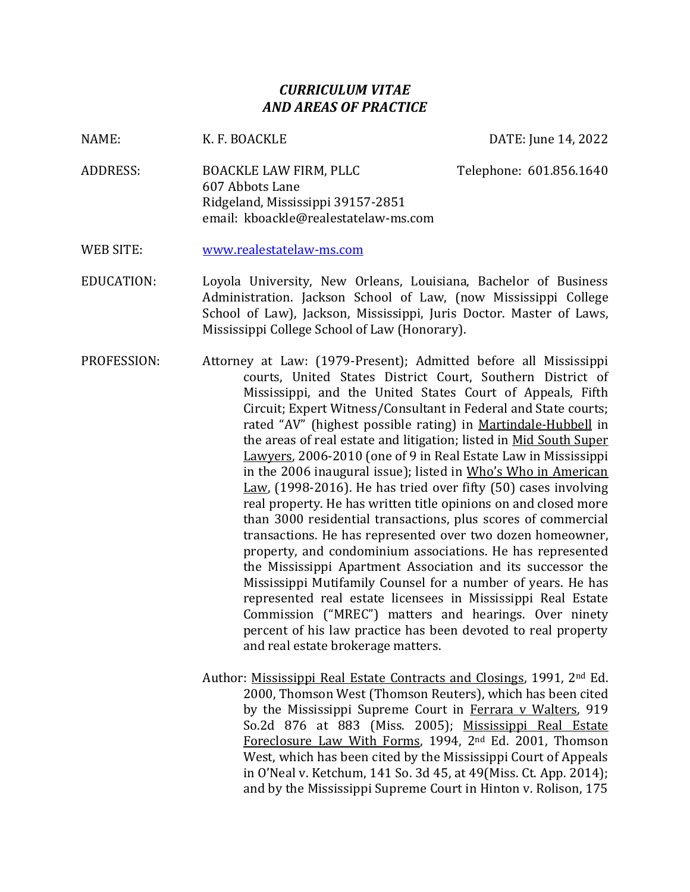## *CURRICULUM VITAE AND AREAS OF PRACTICE*

NAME: K. F. BOACKLE DATE: June 14, 2022

- ADDRESS: BOACKLE LAW FIRM, PLLC Telephone: 601.856.1640 607 Abbots Lane Ridgeland, Mississippi 39157-2851 email: kboackle@realestatelaw-ms.com
- WEB SITE: [www.realestatelaw-ms.com](http://www.realestatelaw-ms.com/)
- EDUCATION: Loyola University, New Orleans, Louisiana, Bachelor of Business Administration. Jackson School of Law, (now Mississippi College School of Law), Jackson, Mississippi, Juris Doctor. Master of Laws, Mississippi College School of Law (Honorary).
- PROFESSION: Attorney at Law: (1979-Present); Admitted before all Mississippi courts, United States District Court, Southern District of Mississippi, and the United States Court of Appeals, Fifth Circuit; Expert Witness/Consultant in Federal and State courts; rated "AV" (highest possible rating) in Martindale-Hubbell in the areas of real estate and litigation; listed in Mid South Super Lawyers, 2006-2010 (one of 9 in Real Estate Law in Mississippi in the 2006 inaugural issue); listed in Who's Who in American Law, (1998-2016). He has tried over fifty (50) cases involving real property. He has written title opinions on and closed more than 3000 residential transactions, plus scores of commercial transactions. He has represented over two dozen homeowner, property, and condominium associations. He has represented the Mississippi Apartment Association and its successor the Mississippi Mutifamily Counsel for a number of years. He has represented real estate licensees in Mississippi Real Estate Commission ("MREC") matters and hearings. Over ninety percent of his law practice has been devoted to real property and real estate brokerage matters.
	- Author: Mississippi Real Estate Contracts and Closings, 1991, 2nd Ed. 2000, Thomson West (Thomson Reuters), which has been cited by the Mississippi Supreme Court in Ferrara v Walters, 919 So.2d 876 at 883 (Miss. 2005); Mississippi Real Estate Foreclosure Law With Forms, 1994, 2nd Ed. 2001, Thomson West, which has been cited by the Mississippi Court of Appeals in O'Neal v. Ketchum, 141 So. 3d 45, at 49(Miss. Ct. App. 2014); and by the Mississippi Supreme Court in Hinton v. Rolison, 175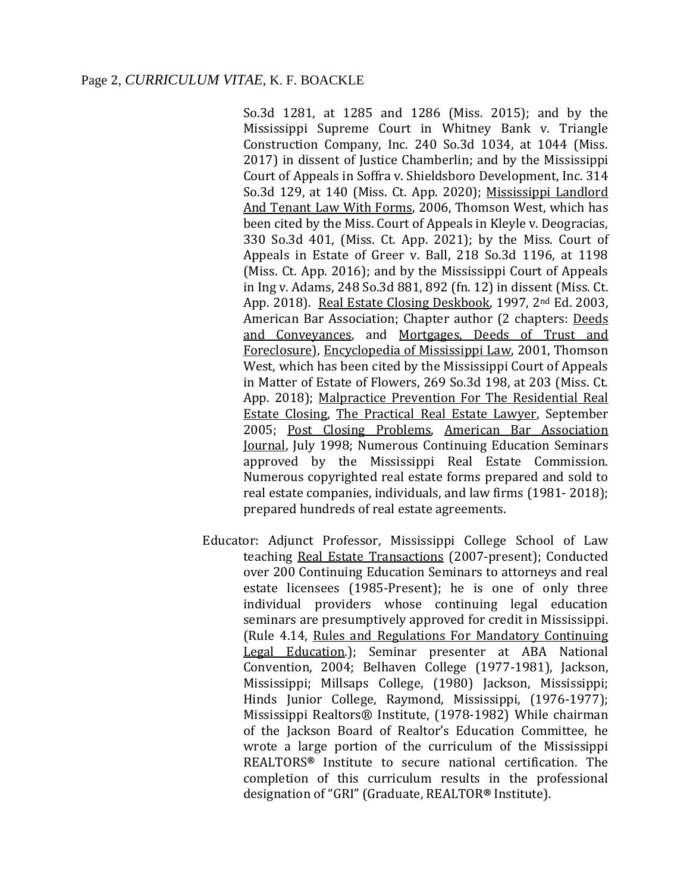So.3d 1281, at 1285 and 1286 (Miss. 2015); and by the Mississippi Supreme Court in Whitney Bank v. Triangle Construction Company, Inc. 240 So.3d 1034, at 1044 (Miss. 2017) in dissent of Justice Chamberlin; and by the Mississippi Court of Appeals in Soffra v. Shieldsboro Development, Inc. 314 So.3d 129, at 140 (Miss. Ct. App. 2020); Mississippi Landlord And Tenant Law With Forms, 2006, Thomson West, which has been cited by the Miss. Court of Appeals in Kleyle v. Deogracias, 330 So.3d 401, (Miss. Ct. App. 2021); by the Miss. Court of Appeals in Estate of Greer v. Ball, 218 So.3d 1196, at 1198 (Miss. Ct. App. 2016); and by the Mississippi Court of Appeals in Ing v. Adams, 248 So.3d 881, 892 (fn. 12) in dissent (Miss. Ct. App. 2018). Real Estate Closing Deskbook, 1997, 2nd Ed. 2003, American Bar Association; Chapter author (2 chapters: Deeds and Conveyances, and Mortgages, Deeds of Trust and Foreclosure), Encyclopedia of Mississippi Law, 2001, Thomson West, which has been cited by the Mississippi Court of Appeals in Matter of Estate of Flowers, 269 So.3d 198, at 203 (Miss. Ct. App. 2018); Malpractice Prevention For The Residential Real Estate Closing, The Practical Real Estate Lawyer, September 2005; Post Closing Problems, American Bar Association Journal, July 1998; Numerous Continuing Education Seminars approved by the Mississippi Real Estate Commission. Numerous copyrighted real estate forms prepared and sold to real estate companies, individuals, and law firms (1981- 2018); prepared hundreds of real estate agreements.

Educator: Adjunct Professor, Mississippi College School of Law teaching Real Estate Transactions (2007-present); Conducted over 200 Continuing Education Seminars to attorneys and real estate licensees (1985-Present); he is one of only three individual providers whose continuing legal education seminars are presumptively approved for credit in Mississippi. (Rule 4.14, Rules and Regulations For Mandatory Continuing Legal Education*.*); Seminar presenter at ABA National Convention, 2004; Belhaven College (1977-1981), Jackson, Mississippi; Millsaps College, (1980) Jackson, Mississippi; Hinds Junior College, Raymond, Mississippi, (1976-1977); Mississippi Realtors® Institute, (1978-1982) While chairman of the Jackson Board of Realtor's Education Committee, he wrote a large portion of the curriculum of the Mississippi REALTORS**®** Institute to secure national certification. The completion of this curriculum results in the professional designation of "GRI" (Graduate, REALTOR**®** Institute).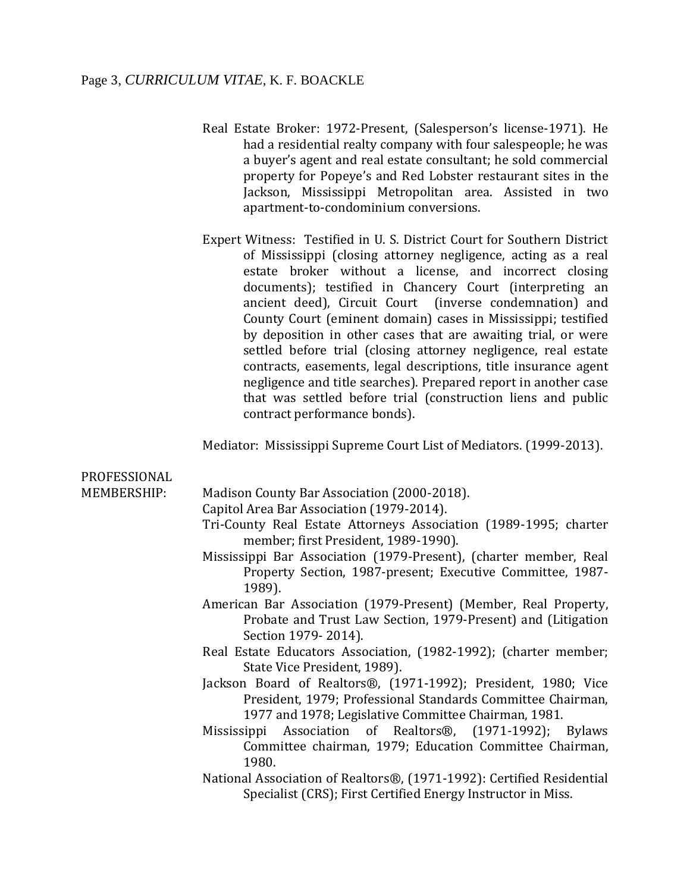## Page 3, *CURRICULUM VITAE*, K. F. BOACKLE

- Real Estate Broker: 1972-Present, (Salesperson's license-1971). He had a residential realty company with four salespeople; he was a buyer's agent and real estate consultant; he sold commercial property for Popeye's and Red Lobster restaurant sites in the Jackson, Mississippi Metropolitan area. Assisted in two apartment-to-condominium conversions.
- Expert Witness: Testified in U. S. District Court for Southern District of Mississippi (closing attorney negligence, acting as a real estate broker without a license, and incorrect closing documents); testified in Chancery Court (interpreting an ancient deed), Circuit Court (inverse condemnation) and County Court (eminent domain) cases in Mississippi; testified by deposition in other cases that are awaiting trial, or were settled before trial (closing attorney negligence, real estate contracts, easements, legal descriptions, title insurance agent negligence and title searches). Prepared report in another case that was settled before trial (construction liens and public contract performance bonds).

Mediator: Mississippi Supreme Court List of Mediators. (1999-2013).

| PROFESSIONAL |                                                                                                          |
|--------------|----------------------------------------------------------------------------------------------------------|
| MEMBERSHIP:  | Madison County Bar Association (2000-2018).                                                              |
|              | Capitol Area Bar Association (1979-2014).                                                                |
|              | Tri-County Real Estate Attorneys Association (1989-1995; charter<br>member; first President, 1989-1990). |
|              | Mississippi Bar Association (1979-Present), (charter member, Real                                        |
|              | Property Section, 1987-present; Executive Committee, 1987-<br>1989).                                     |
|              | American Bar Association (1979-Present) (Member, Real Property,                                          |
|              | Probate and Trust Law Section, 1979-Present) and (Litigation                                             |
|              | Section 1979-2014).                                                                                      |
|              | Real Estate Educators Association, (1982-1992); (charter member;                                         |
|              | State Vice President, 1989).                                                                             |
|              | Jackson Board of Realtors®, (1971-1992); President, 1980; Vice                                           |
|              | President, 1979; Professional Standards Committee Chairman,                                              |
|              | 1977 and 1978; Legislative Committee Chairman, 1981.                                                     |
|              | Association of Realtors®, (1971-1992); Bylaws<br>Mississippi                                             |
|              | Committee chairman, 1979; Education Committee Chairman,                                                  |
|              | 1980.                                                                                                    |
|              | National Association of Realtors®, (1971-1992): Certified Residential                                    |
|              | Specialist (CRS); First Certified Energy Instructor in Miss.                                             |
|              |                                                                                                          |